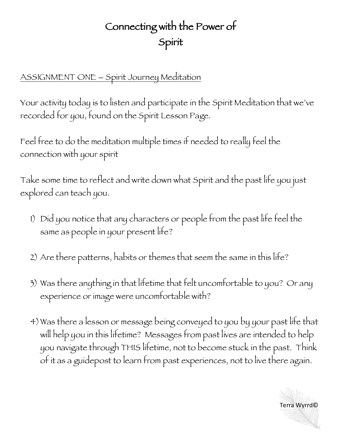## Connecting with the Power of Spirit

## ASSIGNMENT ONE – Spirit Journey Meditation

Your activity today is to listen and participate in the Spirit Meditation that we've recorded for you, found on the Spirit Lesson Page.

Feel free to do the meditation multiple times if needed to really feel the connection with your spirit

Take some time to reflect and write down what Spirit and the past life you just explored can teach you.

- 1) Did you notice that any characters or people from the past life feel the same as people in your present life?
- 2) Are there patterns, habits or themes that seem the same in this life?
- 3) Was there anything in that lifetime that felt uncomfortable to you? Or any experience or image were uncomfortable with?
- 4)Was there a lesson or message being conveyed to you by your past life that will help you in this lifetime? Messages from past lives are intended to help you navigate through THIS lifetime, not to become stuck in the past. Think of it as a guidepost to learn from past experiences, not to live there again.